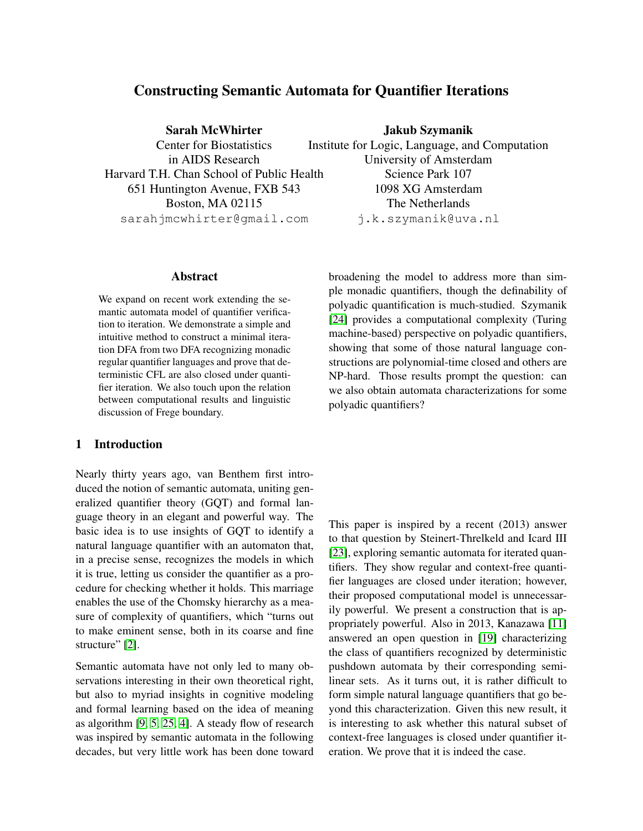# Constructing Semantic Automata for Quantifier Iterations

Sarah McWhirter

Center for Biostatistics in AIDS Research Harvard T.H. Chan School of Public Health 651 Huntington Avenue, FXB 543 Boston, MA 02115 sarahjmcwhirter@gmail.com

#### Abstract

We expand on recent work extending the semantic automata model of quantifier verification to iteration. We demonstrate a simple and intuitive method to construct a minimal iteration DFA from two DFA recognizing monadic regular quantifier languages and prove that deterministic CFL are also closed under quantifier iteration. We also touch upon the relation between computational results and linguistic discussion of Frege boundary.

# 1 Introduction

Nearly thirty years ago, van Benthem first introduced the notion of semantic automata, uniting generalized quantifier theory (GQT) and formal language theory in an elegant and powerful way. The basic idea is to use insights of GQT to identify a natural language quantifier with an automaton that, in a precise sense, recognizes the models in which it is true, letting us consider the quantifier as a procedure for checking whether it holds. This marriage enables the use of the Chomsky hierarchy as a measure of complexity of quantifiers, which "turns out to make eminent sense, both in its coarse and fine structure" [\[2\]](#page-14-0).

Semantic automata have not only led to many observations interesting in their own theoretical right, but also to myriad insights in cognitive modeling and formal learning based on the idea of meaning as algorithm [\[9,](#page-14-1) [5,](#page-14-2) [25,](#page-15-0) [4\]](#page-14-3). A steady flow of research was inspired by semantic automata in the following decades, but very little work has been done toward

Jakub Szymanik Institute for Logic, Language, and Computation University of Amsterdam Science Park 107 1098 XG Amsterdam The Netherlands j.k.szymanik@uva.nl

broadening the model to address more than simple monadic quantifiers, though the definability of polyadic quantification is much-studied. Szymanik [\[24\]](#page-15-1) provides a computational complexity (Turing machine-based) perspective on polyadic quantifiers, showing that some of those natural language constructions are polynomial-time closed and others are NP-hard. Those results prompt the question: can we also obtain automata characterizations for some polyadic quantifiers?

This paper is inspired by a recent (2013) answer to that question by Steinert-Threlkeld and Icard III [\[23\]](#page-15-2), exploring semantic automata for iterated quantifiers. They show regular and context-free quantifier languages are closed under iteration; however, their proposed computational model is unnecessarily powerful. We present a construction that is appropriately powerful. Also in 2013, Kanazawa [\[11\]](#page-14-4) answered an open question in [\[19\]](#page-15-3) characterizing the class of quantifiers recognized by deterministic pushdown automata by their corresponding semilinear sets. As it turns out, it is rather difficult to form simple natural language quantifiers that go beyond this characterization. Given this new result, it is interesting to ask whether this natural subset of context-free languages is closed under quantifier iteration. We prove that it is indeed the case.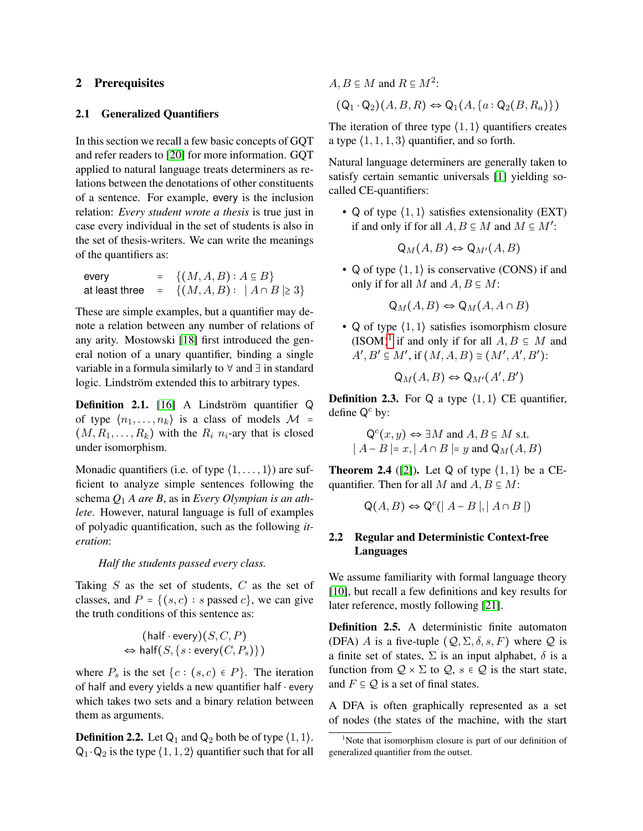### 2 Prerequisites

#### 2.1 Generalized Quantifiers

In this section we recall a few basic concepts of GQT and refer readers to [\[20\]](#page-15-4) for more information. GQT applied to natural language treats determiners as relations between the denotations of other constituents of a sentence. For example, every is the inclusion relation: *Every student wrote a thesis* is true just in case every individual in the set of students is also in the set of thesis-writers. We can write the meanings of the quantifiers as:

| every | $= \{(M, A, B) : A \subseteq B\}$                   |
|-------|-----------------------------------------------------|
|       | at least three $= \{(M, A, B):  A \cap B  \geq 3\}$ |

These are simple examples, but a quantifier may denote a relation between any number of relations of any arity. Mostowski [\[18\]](#page-15-5) first introduced the general notion of a unary quantifier, binding a single variable in a formula similarly to ∀ and ∃ in standard logic. Lindström extended this to arbitrary types.

**Definition 2.1.** [\[16\]](#page-15-6) A Lindström quantifier  $\mathbb Q$ of type  $\langle n_1, \ldots, n_k \rangle$  is a class of models  $\mathcal{M} =$  $(M, R_1, \ldots, R_k)$  with the  $R_i$   $n_i$ -ary that is closed under isomorphism.

Monadic quantifiers (i.e. of type  $(1, \ldots, 1)$ ) are sufficient to analyze simple sentences following the schema *Q*<sup>1</sup> *A are B*, as in *Every Olympian is an athlete*. However, natural language is full of examples of polyadic quantification, such as the following *iteration*:

#### *Half the students passed every class.*

Taking  $S$  as the set of students,  $C$  as the set of classes, and  $P = \{(s, c) : s \text{ passed } c\}$ , we can give the truth conditions of this sentence as:

$$
(\text{half} \cdot \text{every})(S, C, P)
$$
  

$$
\Leftrightarrow \text{half}(S, \{s : \text{every}(C, P_s)\})
$$

where  $P_s$  is the set  $\{c : (s, c) \in P\}$ . The iteration of half and every yields a new quantifier half ⋅ every which takes two sets and a binary relation between them as arguments.

**Definition 2.2.** Let  $Q_1$  and  $Q_2$  both be of type  $\langle 1, 1 \rangle$ .  $Q_1 \cdot Q_2$  is the type  $\langle 1, 1, 2 \rangle$  quantifier such that for all

 $A, B \subseteq M$  and  $R \subseteq M^2$ :  $(Q_1 \cdot Q_2)(A, B, R) \Leftrightarrow Q_1(A, \{a : Q_2(B, R_a)\})$ 

The iteration of three type  $(1, 1)$  quantifiers creates a type  $\langle 1, 1, 1, 3 \rangle$  quantifier, and so forth.

Natural language determiners are generally taken to satisfy certain semantic universals [\[1\]](#page-14-5) yielding socalled CE-quantifiers:

• Q of type  $(1, 1)$  satisfies extensionality (EXT) if and only if for all  $A, B \subseteq M$  and  $M \subseteq M'$ :

$$
\mathsf{Q}_M(A, B) \Leftrightarrow \mathsf{Q}_{M'}(A, B)
$$

• Q of type  $(1, 1)$  is conservative (CONS) if and only if for all M and  $A, B \subseteq M$ :

 $Q_M(A, B) \Leftrightarrow Q_M(A, A \cap B)$ 

• Q of type  $(1, 1)$  satisfies isomorphism closure (ISOM)<sup>[1](#page-1-0)</sup> if and only if for all  $A, B \subseteq M$  and  $A', B' \subseteq M'$ , if  $(M, A, B) \cong (M', A', B')$ :

$$
\mathsf{Q}_M(A,B) \Leftrightarrow \mathsf{Q}_{M'}(A',B')
$$

**Definition 2.3.** For Q a type  $\langle 1, 1 \rangle$  CE quantifier, define  $Q^c$  by:

$$
Qc(x, y) \Leftrightarrow \exists M \text{ and } A, B \subseteq M \text{ s.t.}
$$
  
 $|A - B| = x, |A \cap B| = y \text{ and } Q_M(A, B)$ 

**Theorem 2.4** ([\[2\]](#page-14-0)). Let Q of type  $\langle 1, 1 \rangle$  be a CEquantifier. Then for all M and  $A, B \subseteq M$ :

$$
Q(A, B) \Leftrightarrow Q^{c}(|A - B|, |A \cap B|)
$$

# 2.2 Regular and Deterministic Context-free Languages

We assume familiarity with formal language theory [\[10\]](#page-14-6), but recall a few definitions and key results for later reference, mostly following [\[21\]](#page-15-7).

Definition 2.5. A deterministic finite automaton (DFA) A is a five-tuple  $(Q, \Sigma, \delta, s, F)$  where Q is a finite set of states,  $\Sigma$  is an input alphabet,  $\delta$  is a function from  $Q \times \Sigma$  to  $Q$ ,  $s \in Q$  is the start state, and  $F \subseteq Q$  is a set of final states.

A DFA is often graphically represented as a set of nodes (the states of the machine, with the start

<span id="page-1-0"></span><sup>&</sup>lt;sup>1</sup>Note that isomorphism closure is part of our definition of generalized quantifier from the outset.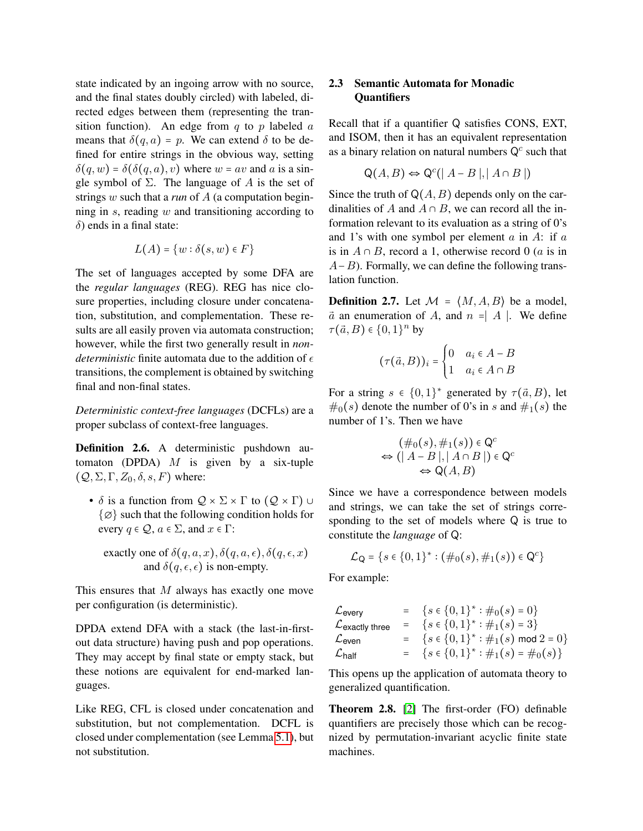state indicated by an ingoing arrow with no source, and the final states doubly circled) with labeled, directed edges between them (representing the transition function). An edge from  $q$  to  $p$  labeled  $a$ means that  $\delta(q, a) = p$ . We can extend  $\delta$  to be defined for entire strings in the obvious way, setting  $\delta(q, w) = \delta(\delta(q, a), v)$  where  $w = av$  and a is a single symbol of  $\Sigma$ . The language of A is the set of strings w such that a *run* of A (a computation beginning in s, reading w and transitioning according to  $\delta$ ) ends in a final state:

$$
L(A) = \{w : \delta(s, w) \in F\}
$$

The set of languages accepted by some DFA are the *regular languages* (REG). REG has nice closure properties, including closure under concatenation, substitution, and complementation. These results are all easily proven via automata construction; however, while the first two generally result in *nondeterministic* finite automata due to the addition of  $\epsilon$ transitions, the complement is obtained by switching final and non-final states.

*Deterministic context-free languages* (DCFLs) are a proper subclass of context-free languages.

Definition 2.6. A deterministic pushdown automaton (DPDA)  $M$  is given by a six-tuple  $(Q, \Sigma, \Gamma, Z_0, \delta, s, F)$  where:

•  $\delta$  is a function from  $\mathcal{Q} \times \Sigma \times \Gamma$  to  $(\mathcal{Q} \times \Gamma) \cup$ {∅} such that the following condition holds for every  $q \in \mathcal{Q}$ ,  $a \in \Sigma$ , and  $x \in \Gamma$ :

exactly one of 
$$
\delta(q, a, x), \delta(q, a, \epsilon), \delta(q, \epsilon, x)
$$
  
and  $\delta(q, \epsilon, \epsilon)$  is non-empty.

This ensures that  $M$  always has exactly one move per configuration (is deterministic).

DPDA extend DFA with a stack (the last-in-firstout data structure) having push and pop operations. They may accept by final state or empty stack, but these notions are equivalent for end-marked languages.

Like REG, CFL is closed under concatenation and substitution, but not complementation. DCFL is closed under complementation (see Lemma [5.1\)](#page-8-0), but not substitution.

# 2.3 Semantic Automata for Monadic **Ouantifiers**

Recall that if a quantifier Q satisfies CONS, EXT, and ISOM, then it has an equivalent representation as a binary relation on natural numbers  $Q<sup>c</sup>$  such that

$$
Q(A, B) \Leftrightarrow Q^{c}(|A - B|, |A \cap B|)
$$

Since the truth of  $Q(A, B)$  depends only on the cardinalities of A and  $A \cap B$ , we can record all the information relevant to its evaluation as a string of 0's and 1's with one symbol per element  $a$  in  $A$ : if  $a$ is in  $A \cap B$ , record a 1, otherwise record 0 (*a* is in  $A-B$ ). Formally, we can define the following translation function.

**Definition 2.7.** Let  $M = \langle M, A, B \rangle$  be a model,  $\vec{a}$  an enumeration of A, and  $n = |A|$ . We define  $\tau(\vec{a},B) \in \{0,1\}^n$  by

$$
(\tau(\vec{a},B))_i = \begin{cases} 0 & a_i \in A - B \\ 1 & a_i \in A \cap B \end{cases}
$$

For a string  $s \in \{0,1\}^*$  generated by  $\tau(\vec{a},B)$ , let  $\#_0(s)$  denote the number of 0's in s and  $\#_1(s)$  the number of 1's. Then we have

$$
(\#_0(s), \#_1(s)) \in \mathbb{Q}^c
$$
  
\n
$$
\Leftrightarrow (|A - B|, |A \cap B|) \in \mathbb{Q}^c
$$
  
\n
$$
\Leftrightarrow \mathbb{Q}(A, B)
$$

Since we have a correspondence between models and strings, we can take the set of strings corresponding to the set of models where Q is true to constitute the *language* of Q:

$$
\mathcal{L}_{Q} = \{s \in \{0,1\}^{*} : (\#_{0}(s), \#_{1}(s)) \in Q^{c}\}\
$$

For example:

| Every         | = | \n $\{s \in \{0,1\}^* : \#_0(s) = 0\}$ \n        |
|---------------|---|--------------------------------------------------|
| Clearly three | = | \n $\{s \in \{0,1\}^* : \#_1(s) = 3\}$ \n        |
| Even          | = | \n $\{s \in \{0,1\}^* : \#_1(s) \mod 2 = 0\}$ \n |
| Chalf         | = | \n $\{s \in \{0,1\}^* : \#_1(s) = \#_0(s)\}$ \n  |

This opens up the application of automata theory to generalized quantification.

Theorem 2.8. [\[2\]](#page-14-0) The first-order (FO) definable quantifiers are precisely those which can be recognized by permutation-invariant acyclic finite state machines.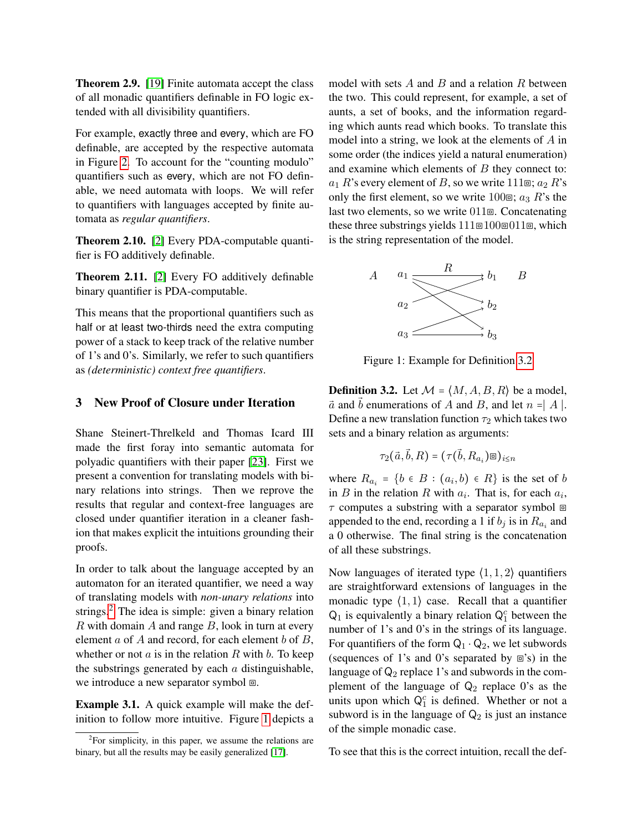Theorem 2.9. [\[19\]](#page-15-3) Finite automata accept the class of all monadic quantifiers definable in FO logic extended with all divisibility quantifiers.

For example, exactly three and every, which are FO definable, are accepted by the respective automata in Figure [2.](#page-6-0) To account for the "counting modulo" quantifiers such as every, which are not FO definable, we need automata with loops. We will refer to quantifiers with languages accepted by finite automata as *regular quantifiers*.

Theorem 2.10. [\[2\]](#page-14-0) Every PDA-computable quantifier is FO additively definable.

<span id="page-3-4"></span>Theorem 2.11. [\[2\]](#page-14-0) Every FO additively definable binary quantifier is PDA-computable.

This means that the proportional quantifiers such as half or at least two-thirds need the extra computing power of a stack to keep track of the relative number of 1's and 0's. Similarly, we refer to such quantifiers as *(deterministic) context free quantifiers*.

### 3 New Proof of Closure under Iteration

Shane Steinert-Threlkeld and Thomas Icard III made the first foray into semantic automata for polyadic quantifiers with their paper [\[23\]](#page-15-2). First we present a convention for translating models with binary relations into strings. Then we reprove the results that regular and context-free languages are closed under quantifier iteration in a cleaner fashion that makes explicit the intuitions grounding their proofs.

In order to talk about the language accepted by an automaton for an iterated quantifier, we need a way of translating models with *non-unary relations* into strings.<sup>[2](#page-3-0)</sup> The idea is simple: given a binary relation  $R$  with domain  $A$  and range  $B$ , look in turn at every element  $a$  of  $A$  and record, for each element  $b$  of  $B$ , whether or not  $a$  is in the relation  $R$  with  $b$ . To keep the substrings generated by each  $a$  distinguishable, we introduce a new separator symbol  $\Xi$ .

<span id="page-3-3"></span>Example 3.1. A quick example will make the definition to follow more intuitive. Figure [1](#page-3-1) depicts a model with sets  $A$  and  $B$  and a relation  $R$  between the two. This could represent, for example, a set of aunts, a set of books, and the information regarding which aunts read which books. To translate this model into a string, we look at the elements of A in some order (the indices yield a natural enumeration) and examine which elements of  $B$  they connect to:  $a_1 R$ 's every element of B, so we write 111 $\mathbb{E}$ ;  $a_2 R$ 's only the first element, so we write 100 $\Xi$ ;  $a_3 R$ 's the last two elements, so we write 011⧈. Concatenating these three substrings yields  $111@100@011@$ , which is the string representation of the model.

<span id="page-3-1"></span>

Figure 1: Example for Definition [3.2](#page-3-2)

<span id="page-3-2"></span>**Definition 3.2.** Let  $M = \langle M, A, B, R \rangle$  be a model,  $\vec{a}$  and  $\vec{b}$  enumerations of A and B, and let  $n = |A|$ . Define a new translation function  $\tau_2$  which takes two sets and a binary relation as arguments:

$$
\tau_2(\vec{a}, \vec{b}, R) = (\tau(\vec{b}, R_{a_i}) \square)_{i \leq n}
$$

where  $R_{a_i} = \{b \in B : (a_i, b) \in R\}$  is the set of b in B in the relation R with  $a_i$ . That is, for each  $a_i$ ,  $\tau$  computes a substring with a separator symbol  $\Box$ appended to the end, recording a 1 if  $b_j$  is in  $R_{a_i}$  and a 0 otherwise. The final string is the concatenation of all these substrings.

Now languages of iterated type  $\langle 1, 1, 2 \rangle$  quantifiers are straightforward extensions of languages in the monadic type  $(1, 1)$  case. Recall that a quantifier  $Q_1$  is equivalently a binary relation  $Q_1^c$  between the number of 1's and 0's in the strings of its language. For quantifiers of the form  $Q_1 \cdot Q_2$ , we let subwords (sequences of 1's and 0's separated by  $\equiv$ 's) in the language of  $\mathsf{Q}_2$  replace 1's and subwords in the complement of the language of  $Q_2$  replace 0's as the units upon which  $Q_1^c$  is defined. Whether or not a subword is in the language of  $Q_2$  is just an instance of the simple monadic case.

To see that this is the correct intuition, recall the def-

<span id="page-3-0"></span> $2$ For simplicity, in this paper, we assume the relations are binary, but all the results may be easily generalized [\[17\]](#page-15-8).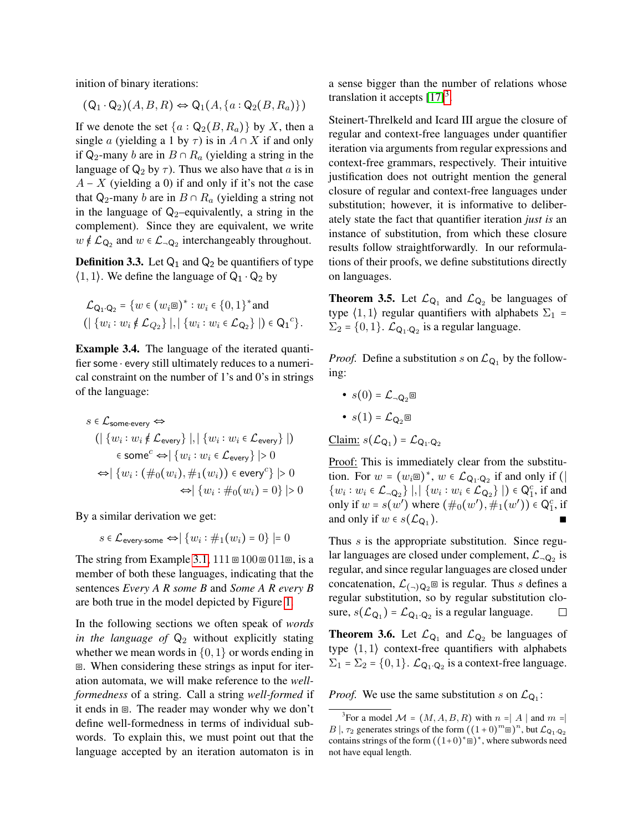inition of binary iterations:

$$
(Q_1 \cdot Q_2)(A, B, R) \Leftrightarrow Q_1(A, \{a : Q_2(B, R_a)\})
$$

If we denote the set  $\{a : Q_2(B, R_a)\}\$  by X, then a single a (yielding a 1 by  $\tau$ ) is in  $A \cap X$  if and only if Q<sub>2</sub>-many b are in  $B \cap R_a$  (yielding a string in the language of  $Q_2$  by  $\tau$ ). Thus we also have that a is in  $A - X$  (yielding a 0) if and only if it's not the case that Q<sub>2</sub>-many b are in  $B \cap R_a$  (yielding a string not in the language of  $Q_2$ –equivalently, a string in the complement). Since they are equivalent, we write  $w \notin \mathcal{L}_{Q_2}$  and  $w \in \mathcal{L}_{\neg Q_2}$  interchangeably throughout.

<span id="page-4-1"></span>**Definition 3.3.** Let  $Q_1$  and  $Q_2$  be quantifiers of type  $\langle 1, 1 \rangle$ . We define the language of  $Q_1 \cdot Q_2$  by

$$
\mathcal{L}_{Q_1 \cdot Q_2} = \{ w \in (w_i \boxplus)^* : w_i \in \{0, 1\}^* \text{ and } \newline (\mid \{w_i : w_i \notin \mathcal{L}_{Q_2}\} \mid, \mid \{w_i : w_i \in \mathcal{L}_{Q_2}\} \mid) \in Q_1^c \}.
$$

Example 3.4. The language of the iterated quantifier some ⋅ every still ultimately reduces to a numerical constraint on the number of 1's and 0's in strings of the language:

$$
s \in \mathcal{L}_{\text{some-every}} \Leftrightarrow
$$
  
\n
$$
(| \{ w_i : w_i \notin \mathcal{L}_{\text{every}} \} |, | \{ w_i : w_i \in \mathcal{L}_{\text{every}} \} |)
$$
  
\n
$$
\in \text{some}^c \Leftrightarrow |\{ w_i : w_i \in \mathcal{L}_{\text{every}} \} | > 0
$$
  
\n
$$
\Leftrightarrow |\{ w_i : (\#_0(w_i), \#_1(w_i)) \in \text{every}^c \} | > 0
$$
  
\n
$$
\Leftrightarrow |\{ w_i : \#_0(w_i) = 0 \} | > 0
$$

By a similar derivation we get:

 $s \in \mathcal{L}_{\mathsf{every\text{-}some}} \Leftrightarrow |\{w_i : \#_1(w_i) = 0\}| = 0$ 

The string from Example [3.1,](#page-3-3)  $111 \text{ } \text{ } 100 \text{ } \text{ } \text{ } 011 \text{ } \text{ } \text{ } \text{ } s$  is a member of both these languages, indicating that the sentences *Every A R some B* and *Some A R every B* are both true in the model depicted by Figure [1.](#page-3-1)

In the following sections we often speak of *words in the language of*  $\mathsf{Q}_2$  without explicitly stating whether we mean words in  $\{0, 1\}$  or words ending in ⧈. When considering these strings as input for iteration automata, we will make reference to the *wellformedness* of a string. Call a string *well-formed* if it ends in  $\Xi$ . The reader may wonder why we don't define well-formedness in terms of individual subwords. To explain this, we must point out that the language accepted by an iteration automaton is in a sense bigger than the number of relations whose translation it accepts  $[17]^3$  $[17]^3$  $[17]^3$ .

Steinert-Threlkeld and Icard III argue the closure of regular and context-free languages under quantifier iteration via arguments from regular expressions and context-free grammars, respectively. Their intuitive justification does not outright mention the general closure of regular and context-free languages under substitution; however, it is informative to deliberately state the fact that quantifier iteration *just is* an instance of substitution, from which these closure results follow straightforwardly. In our reformulations of their proofs, we define substitutions directly on languages.

**Theorem 3.5.** Let  $\mathcal{L}_{Q_1}$  and  $\mathcal{L}_{Q_2}$  be languages of type  $\langle 1, 1 \rangle$  regular quantifiers with alphabets  $\Sigma_1$  =  $\Sigma_2 = \{0, 1\}$ .  $\mathcal{L}_{\mathsf{Q}_1 \cdot \mathsf{Q}_2}$  is a regular language.

*Proof.* Define a substitution s on  $\mathcal{L}_{Q_1}$  by the following:

- $s(0) = \mathcal{L}_{\neg \mathsf{Q}_{2}} \square$
- $s(1) = \mathcal{L}_{\mathsf{Q}_2}$

$$
\underline{\text{Claim:}} \ s(\mathcal{L}_{\mathsf{Q}_1}) = \mathcal{L}_{\mathsf{Q}_1 \cdot \mathsf{Q}_2}
$$

Proof: This is immediately clear from the substitution. For  $w = (w_i \boxdot)^*$ ,  $w \in \mathcal{L}_{Q_1 \cdot Q_2}$  if and only if ( { $w_i : w_i \in \mathcal{L}_{\neg \mathsf{Q}_2}$ } |, | { $w_i : w_i \in \mathcal{L}_{\mathsf{Q}_2}$ } |) ∈  $\mathsf{Q}_1^c$ , if and only if  $w = s(w')$  where  $(\#_0(w'), \#_1(w')) \in \mathsf{Q}_1^c$ , if and only if  $w \in s(\mathcal{L}_{Q_1})$ . ). ∎

Thus *s* is the appropriate substitution. Since regular languages are closed under complement,  $\mathcal{L}_{\neg \mathsf{Q}_2}$  is regular, and since regular languages are closed under concatenation,  $\mathcal{L}_{(-)Q_2}$  is regular. Thus s defines a regular substitution, so by regular substitution closure,  $s(\mathcal{L}_{Q_1}) = \mathcal{L}_{Q_1 \cdot Q_2}$  is a regular language.  $\Box$ 

<span id="page-4-2"></span>**Theorem 3.6.** Let  $\mathcal{L}_{Q_1}$  and  $\mathcal{L}_{Q_2}$  be languages of type  $(1, 1)$  context-free quantifiers with alphabets  $\Sigma_1 = \Sigma_2 = \{0, 1\}$ .  $\mathcal{L}_{\mathsf{Q}_1 \cdot \mathsf{Q}_2}$  is a context-free language.

*Proof.* We use the same substitution s on  $\mathcal{L}_{Q_1}$ :

<span id="page-4-0"></span><sup>&</sup>lt;sup>3</sup>For a model  $\mathcal{M} = (M, A, B, R)$  with  $n = |A|$  and  $m = |A|$ B |,  $\tau_2$  generates strings of the form  $((1+0)^m \square)^n$ , but  $\mathcal{L}_{Q_1 \cdot Q_2}$ contains strings of the form  $((1+0)^* \square)^*$ , where subwords need not have equal length.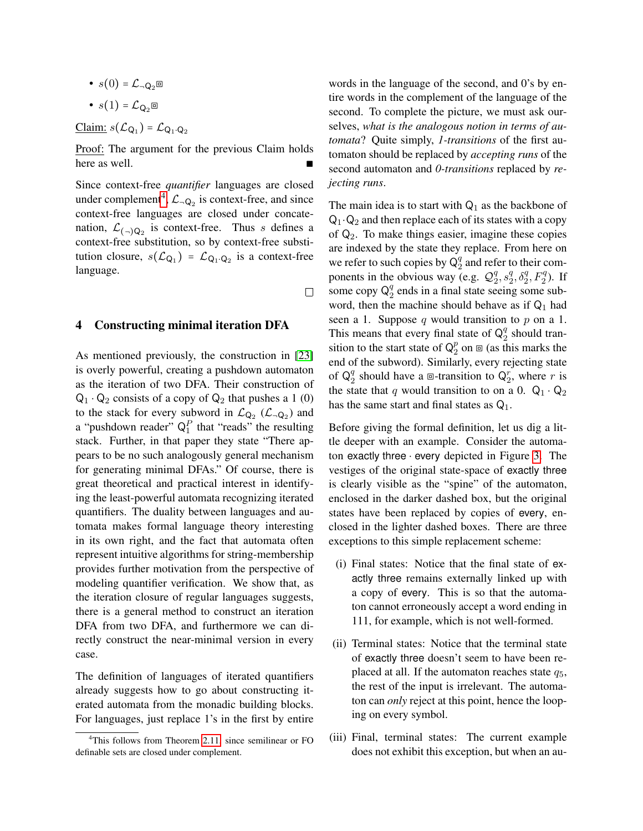•  $s(0) = \mathcal{L}_{\neg \mathsf{Q}_2} \square$ •  $s(1) = \mathcal{L}_{\Omega_2}$ 

<u>Claim:</u>  $s(\mathcal{L}_{Q_1}) = \mathcal{L}_{Q_1 \cdot Q_2}$ 

Proof: The argument for the previous Claim holds here as well.

Since context-free *quantifier* languages are closed under complement<sup>[4](#page-5-0)</sup>,  $\mathcal{L}_{\neg Q_2}$  is context-free, and since context-free languages are closed under concatenation,  $\mathcal{L}_{(-)Q_2}$  is context-free. Thus *s* defines a context-free substitution, so by context-free substitution closure,  $s(\mathcal{L}_{Q_1}) = \mathcal{L}_{Q_1 \cdot Q_2}$  is a context-free language.

 $\Box$ 

#### 4 Constructing minimal iteration DFA

As mentioned previously, the construction in [\[23\]](#page-15-2) is overly powerful, creating a pushdown automaton as the iteration of two DFA. Their construction of  $Q_1 \cdot Q_2$  consists of a copy of  $Q_2$  that pushes a 1 (0) to the stack for every subword in  $\mathcal{L}_{Q_2}$  ( $\mathcal{L}_{\neg Q_2}$ ) and a "pushdown reader"  $Q_1^P$  that "reads" the resulting stack. Further, in that paper they state "There appears to be no such analogously general mechanism for generating minimal DFAs." Of course, there is great theoretical and practical interest in identifying the least-powerful automata recognizing iterated quantifiers. The duality between languages and automata makes formal language theory interesting in its own right, and the fact that automata often represent intuitive algorithms for string-membership provides further motivation from the perspective of modeling quantifier verification. We show that, as the iteration closure of regular languages suggests, there is a general method to construct an iteration DFA from two DFA, and furthermore we can directly construct the near-minimal version in every case.

The definition of languages of iterated quantifiers already suggests how to go about constructing iterated automata from the monadic building blocks. For languages, just replace 1's in the first by entire

words in the language of the second, and 0's by entire words in the complement of the language of the second. To complete the picture, we must ask ourselves, *what is the analogous notion in terms of automata*? Quite simply, *1-transitions* of the first automaton should be replaced by *accepting runs* of the second automaton and *0-transitions* replaced by *rejecting runs*.

The main idea is to start with  $Q_1$  as the backbone of  $Q_1 \cdot Q_2$  and then replace each of its states with a copy of  $\mathsf{Q}_2$ . To make things easier, imagine these copies are indexed by the state they replace. From here on we refer to such copies by  $Q_2^q$  $\frac{q}{2}$  and refer to their components in the obvious way (e.g.  $\mathcal{Q}_2^q$  $^{q}_{2}, s^{q}_{2}$  $^{q}_{2}, \delta^{q}_{2}, F^{q}_{2}$ ). If some copy  $\mathsf{Q}_2^q$  $\frac{q}{2}$  ends in a final state seeing some subword, then the machine should behave as if  $Q_1$  had seen a 1. Suppose  $q$  would transition to  $p$  on a 1. This means that every final state of  $Q_2^q$  $\frac{q}{2}$  should transition to the start state of  $Q_2^p$  $2^p$  on  $\mathbf{D}$  (as this marks the end of the subword). Similarly, every rejecting state of  $\mathsf{Q}_2^q$  $_2^q$  should have a  $\Box$ -transition to  $Q_2^r$ , where r is the state that q would transition to on a 0.  $Q_1 \cdot Q_2$ has the same start and final states as  $Q_1$ .

Before giving the formal definition, let us dig a little deeper with an example. Consider the automaton exactly three ⋅ every depicted in Figure [3.](#page-6-1) The vestiges of the original state-space of exactly three is clearly visible as the "spine" of the automaton, enclosed in the darker dashed box, but the original states have been replaced by copies of every, enclosed in the lighter dashed boxes. There are three exceptions to this simple replacement scheme:

- (i) Final states: Notice that the final state of exactly three remains externally linked up with a copy of every. This is so that the automaton cannot erroneously accept a word ending in 111, for example, which is not well-formed.
- (ii) Terminal states: Notice that the terminal state of exactly three doesn't seem to have been replaced at all. If the automaton reaches state  $q_5$ , the rest of the input is irrelevant. The automaton can *only* reject at this point, hence the looping on every symbol.
- (iii) Final, terminal states: The current example does not exhibit this exception, but when an au-

<span id="page-5-0"></span><sup>&</sup>lt;sup>4</sup>This follows from Theorem [2.11,](#page-3-4) since semilinear or FO definable sets are closed under complement.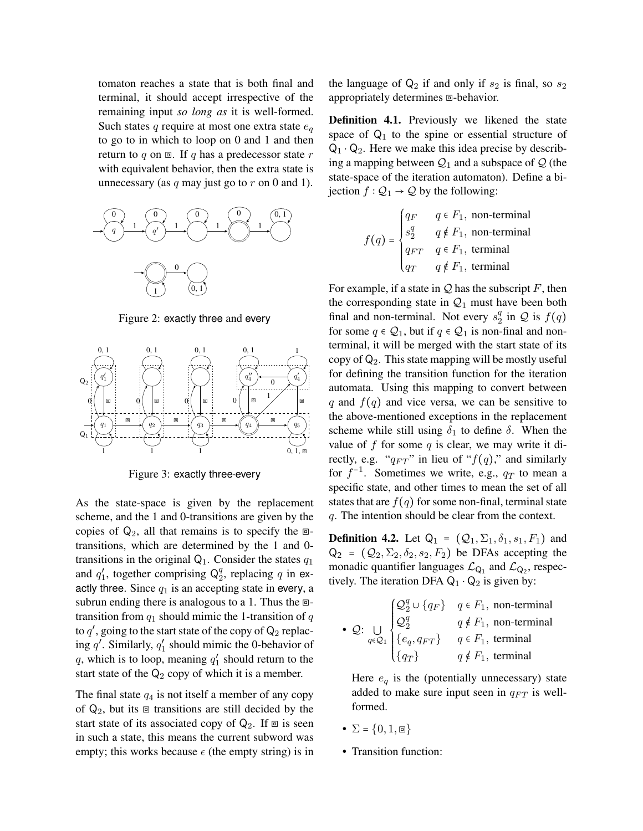tomaton reaches a state that is both final and terminal, it should accept irrespective of the remaining input *so long as* it is well-formed. Such states q require at most one extra state  $e_q$ to go to in which to loop on 0 and 1 and then return to q on  $\Xi$ . If q has a predecessor state r with equivalent behavior, then the extra state is unnecessary (as  $q$  may just go to  $r$  on 0 and 1).

<span id="page-6-0"></span>

Figure 2: exactly three and every

<span id="page-6-1"></span>

Figure 3: exactly three⋅every

As the state-space is given by the replacement scheme, and the 1 and 0-transitions are given by the copies of  $Q_2$ , all that remains is to specify the  $\Box$ transitions, which are determined by the 1 and 0 transitions in the original  $Q_1$ . Consider the states  $q_1$ and  $q'_1$ , together comprising  $\mathsf{Q}_2^q$  $_2^q$ , replacing q in exactly three. Since  $q_1$  is an accepting state in every, a subrun ending there is analogous to a 1. Thus the  $\Box$ transition from  $q_1$  should mimic the 1-transition of q to  $q'$ , going to the start state of the copy of  $\mathsf{Q}_2$  replacing  $q'$ . Similarly,  $q'_1$  should mimic the 0-behavior of q, which is to loop, meaning  $q'_1$  should return to the start state of the  $Q_2$  copy of which it is a member.

The final state  $q_4$  is not itself a member of any copy of  $Q_2$ , but its  $\Box$  transitions are still decided by the start state of its associated copy of  $Q_2$ . If  $\Box$  is seen in such a state, this means the current subword was empty; this works because  $\epsilon$  (the empty string) is in the language of  $Q_2$  if and only if  $s_2$  is final, so  $s_2$ appropriately determines  $\Xi$ -behavior.

<span id="page-6-2"></span>Definition 4.1. Previously we likened the state space of  $Q_1$  to the spine or essential structure of  $Q_1 \cdot Q_2$ . Here we make this idea precise by describing a mapping between  $Q_1$  and a subspace of  $Q$  (the state-space of the iteration automaton). Define a bijection  $f : Q_1 \rightarrow Q$  by the following:

$$
f(q) = \begin{cases} q_F & q \in F_1, \text{ non-terminal} \\ s_2^q & q \notin F_1, \text{ non-terminal} \\ q_{FT} & q \in F_1, \text{ terminal} \\ q_T & q \notin F_1, \text{ terminal} \end{cases}
$$

For example, if a state in  $Q$  has the subscript  $F$ , then the corresponding state in  $Q_1$  must have been both final and non-terminal. Not every  $s_2^q$  $\frac{q}{2}$  in  $\mathcal{Q}$  is  $f(q)$ for some  $q \in Q_1$ , but if  $q \in Q_1$  is non-final and nonterminal, it will be merged with the start state of its copy of  $\mathsf{Q}_2$ . This state mapping will be mostly useful for defining the transition function for the iteration automata. Using this mapping to convert between q and  $f(q)$  and vice versa, we can be sensitive to the above-mentioned exceptions in the replacement scheme while still using  $\delta_1$  to define  $\delta$ . When the value of  $f$  for some  $q$  is clear, we may write it directly, e.g. " $q_{FT}$ " in lieu of " $f(q)$ ," and similarly for  $f^{-1}$ . Sometimes we write, e.g.,  $q_T$  to mean a specific state, and other times to mean the set of all states that are  $f(q)$  for some non-final, terminal state q. The intention should be clear from the context.

**Definition 4.2.** Let  $Q_1 = (Q_1, \Sigma_1, \delta_1, s_1, F_1)$  and  $Q_2 = (Q_2, \Sigma_2, \delta_2, s_2, F_2)$  be DFAs accepting the monadic quantifier languages  $\mathcal{L}_{Q_1}$  and  $\mathcal{L}_{Q_2}$ , respectively. The iteration DFA  $Q_1 \cdot Q_2$  is given by:

• Q: 
$$
\bigcup_{q \in Q_1} \begin{cases} Q_2^q \cup \{q_F\} & q \in F_1, \text{ non-terminal} \\ Q_2^q & q \notin F_1, \text{ non-terminal} \\ \{e_q, q_{FT}\} & q \in F_1, \text{ terminal} \\ \{q_T\} & q \notin F_1, \text{ terminal} \end{cases}
$$

Here  $e_q$  is the (potentially unnecessary) state added to make sure input seen in  $q_{FT}$  is wellformed.

- $\Sigma = \{0, 1, \square\}$
- Transition function: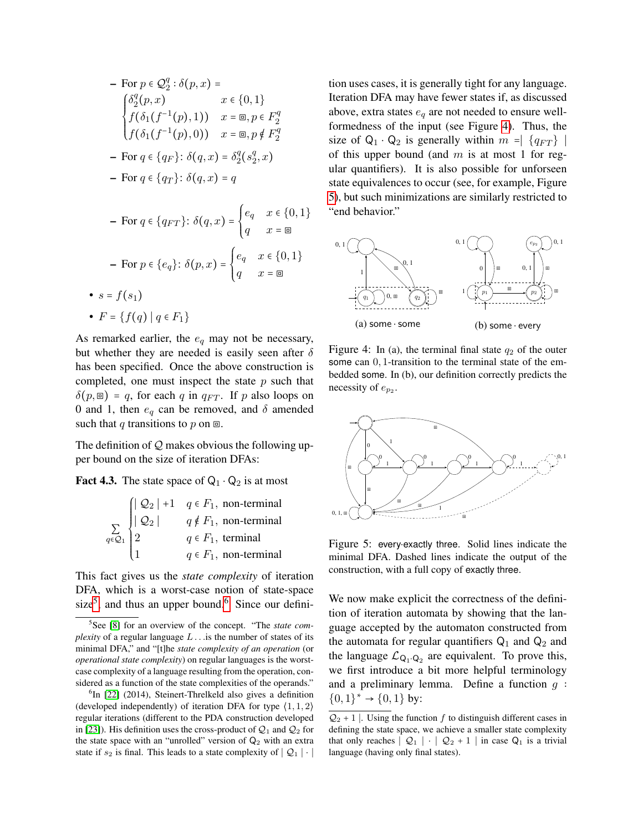$$
- \text{ For } p \in \mathcal{Q}_2^q : \delta(p, x) =
$$
\n
$$
\begin{cases}\n\delta_2^q(p, x) & x \in \{0, 1\} \\
f(\delta_1(f^{-1}(p), 1)) & x = \mathbb{E}, p \in F_2^q \\
f(\delta_1(f^{-1}(p), 0)) & x = \mathbb{E}, p \notin F_2^q\n\end{cases}
$$
\n
$$
- \text{ For } q \in \{q_F\}: \delta(q, x) = \delta_2^q(s_2^q, x)
$$
\n
$$
- \text{ For } q \in \{q_T\}: \delta(q, x) = q
$$

$$
- \text{ For } q \in \{q_{FT}\}: \delta(q, x) = \begin{cases} e_q & x \in \{0, 1\} \\ q & x = \text{m} \end{cases}
$$

$$
- \text{ For } p \in \{e_q\}: \delta(p, x) = \begin{cases} e_q & x \in \{0, 1\} \\ q & x = \text{m} \end{cases}
$$

$$
\bullet s = f(s_1)
$$

$$
\bullet F = \{f(q) \mid q \in F_1\}
$$

As remarked earlier, the  $e_q$  may not be necessary, but whether they are needed is easily seen after  $\delta$ has been specified. Once the above construction is completed, one must inspect the state  $p$  such that  $\delta(p, \mathbf{r}) = q$ , for each q in  $q_{FT}$ . If p also loops on 0 and 1, then  $e_q$  can be removed, and  $\delta$  amended such that q transitions to p on  $\Xi$ .

The definition of  $Q$  makes obvious the following upper bound on the size of iteration DFAs:

**Fact 4.3.** The state space of  $Q_1 \cdot Q_2$  is at most

|  | $\sum_{Q_1} \begin{cases}  Q_2  & q \notin F_1, \text{ non-term}_{\perp} \\ 2 & q \notin F_1, \text{ non-ferm-der}_{\perp} \end{cases}$ |
|--|-----------------------------------------------------------------------------------------------------------------------------------------|
|  |                                                                                                                                         |
|  | $q \in F_1$ , non-terminal                                                                                                              |

This fact gives us the *state complexity* of iteration DFA, which is a worst-case notion of state-space size<sup>[5](#page-7-0)</sup>, and thus an upper bound.<sup>[6](#page-7-1)</sup> Since our definition uses cases, it is generally tight for any language. Iteration DFA may have fewer states if, as discussed above, extra states  $e_q$  are not needed to ensure wellformedness of the input (see Figure [4\)](#page-7-2). Thus, the size of  $Q_1 \cdot Q_2$  is generally within  $m = |q_{FT}|$ of this upper bound (and  $m$  is at most 1 for regular quantifiers). It is also possible for unforseen state equivalences to occur (see, for example, Figure [5\)](#page-7-3), but such minimizations are similarly restricted to "end behavior."

<span id="page-7-2"></span>

Figure 4: In (a), the terminal final state  $q_2$  of the outer some can  $0, 1$ -transition to the terminal state of the embedded some. In (b), our definition correctly predicts the necessity of  $e_{p_2}$ .

<span id="page-7-3"></span>

Figure 5: every⋅exactly three. Solid lines indicate the minimal DFA. Dashed lines indicate the output of the construction, with a full copy of exactly three.

We now make explicit the correctness of the definition of iteration automata by showing that the language accepted by the automaton constructed from the automata for regular quantifiers  $Q_1$  and  $Q_2$  and the language  $\mathcal{L}_{Q_1 \cdot Q_2}$  are equivalent. To prove this, we first introduce a bit more helpful terminology and a preliminary lemma. Define a function  $q$ :  ${0,1}^* \rightarrow {0,1}$  by:

<span id="page-7-0"></span><sup>5</sup> See [\[8\]](#page-14-7) for an overview of the concept. "The *state complexity* of a regular language  $L$ ... is the number of states of its minimal DFA," and "[t]he *state complexity of an operation* (or *operational state complexity*) on regular languages is the worstcase complexity of a language resulting from the operation, considered as a function of the state complexities of the operands."

<span id="page-7-1"></span><sup>&</sup>lt;sup>6</sup>In [\[22\]](#page-15-9) (2014), Steinert-Threlkeld also gives a definition (developed independently) of iteration DFA for type  $(1, 1, 2)$ regular iterations (different to the PDA construction developed in [\[23\]](#page-15-2)). His definition uses the cross-product of  $Q_1$  and  $Q_2$  for the state space with an "unrolled" version of  $Q_2$  with an extra state if  $s_2$  is final. This leads to a state complexity of  $|Q_1| \cdot |$ 

 $Q_2 + 1$  |. Using the function f to distinguish different cases in defining the state space, we achieve a smaller state complexity that only reaches  $|Q_1| \cdot |Q_2 + 1|$  in case  $Q_1$  is a trivial language (having only final states).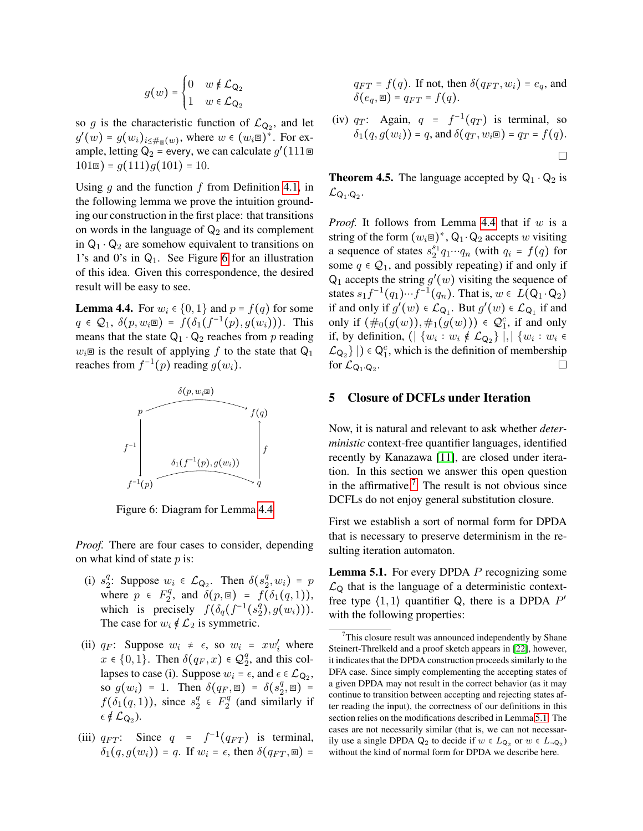$$
g(w) = \begin{cases} 0 & w \notin \mathcal{L}_{\mathsf{Q}_2} \\ 1 & w \in \mathcal{L}_{\mathsf{Q}_2} \end{cases}
$$

so g is the characteristic function of  $\mathcal{L}_{Q_2}$ , and let  $g'(w) = g(w_i)_{i \leq \#_{\mathcal{B}}(w)}$ , where  $w \in (w_i)^\ast$ . For example, letting  $\mathsf{Q}_2$  = every, we can calculate  $g'(111 \boxplus$  $101\text{ m}$ ) =  $q(111)q(101)$  = 10.

Using q and the function f from Definition [4.1,](#page-6-2) in the following lemma we prove the intuition grounding our construction in the first place: that transitions on words in the language of  $\mathsf{Q}_2$  and its complement in  $Q_1 \cdot Q_2$  are somehow equivalent to transitions on 1's and 0's in  $Q_1$ . See Figure [6](#page-8-1) for an illustration of this idea. Given this correspondence, the desired result will be easy to see.

<span id="page-8-2"></span>**Lemma 4.4.** For  $w_i \in \{0, 1\}$  and  $p = f(q)$  for some  $q \in \mathcal{Q}_1$ ,  $\delta(p, w_i \mathbf{r}) = f(\delta_1(f^{-1}(p), g(w_i)))$ . This means that the state  $Q_1 \cdot Q_2$  reaches from p reading  $w_i$ <sup> $\equiv$ </sup> is the result of applying f to the state that  $Q_1$ reaches from  $f^{-1}(p)$  reading  $g(w_i)$ .

<span id="page-8-1"></span>

Figure 6: Diagram for Lemma [4.4](#page-8-2)

*Proof.* There are four cases to consider, depending on what kind of state  $p$  is:

- $(i)$   $s_2^q$ <sup>q</sup>: Suppose  $w_i \in \mathcal{L}_{Q_2}$ . Then  $\delta(s_2^q)$  $_2^q, w_i) = p$ where  $p \in F_2^q$  $\delta^q_2$ , and  $\delta(p, \mathbf{r}) = f(\delta_1(q, 1)),$ which is precisely  $f(\delta_q(f^{-1}(s_2^q)))$  $_{2}^{q}), g(w_{i})))$ . The case for  $w_i \notin L_2$  is symmetric.
- (ii)  $q_F$ : Suppose  $w_i \neq \epsilon$ , so  $w_i = xw'_i$  where  $x \in \{0, 1\}$ . Then  $\delta(q_F, x) \in \mathcal{Q}_2^q$  $\frac{q}{2}$ , and this collapses to case (i). Suppose  $w_i = \epsilon$ , and  $\epsilon \in \mathcal{L}_{Q_2}$ , so  $g(w_i) = 1$ . Then  $\delta(q_F, \mathbf{r}) = \delta(s_2^q)$  $\binom{q}{2}, \boxplus$ ) =  $f(\delta_1(q, 1))$ , since  $s_2^q$  $\frac{q}{2} \in F_2^q$  $2^q$  (and similarly if  $\epsilon\notin\mathcal{L}_{\mathsf{Q}_2}$ ).
- (iii)  $q_{FT}$ : Since  $q = f^{-1}(q_{FT})$  is terminal,  $\delta_1(q, g(w_i)) = q$ . If  $w_i = \epsilon$ , then  $\delta(q_{FT}, \square) =$

 $q_{FT} = f(q)$ . If not, then  $\delta(q_{FT}, w_i) = e_q$ , and  $\delta(e_q, \mathbf{r}) = q_{FT} = f(q).$ 

(iv)  $q_T$ : Again,  $q = f^{-1}(q_T)$  is terminal, so  $\delta_1(q, q(w_i)) = q$ , and  $\delta(q_T, w_i \square) = q_T = f(q)$ .  $\Box$ 

<span id="page-8-4"></span>**Theorem 4.5.** The language accepted by  $Q_1 \cdot Q_2$  is  $\mathcal{L}_{\mathsf{Q}_1 \cdot \mathsf{Q}_2}$ .

*Proof.* It follows from Lemma [4.4](#page-8-2) that if  $w$  is a string of the form  $(w_i \boxdot)^*,$  Q<sub>1</sub>  $\cdot$  Q<sub>2</sub> accepts w visiting a sequence of states  $s_2^{s_1}q_1 \cdots q_n$  (with  $q_i = f(q)$  for some  $q \in Q_1$ , and possibly repeating) if and only if  $Q_1$  accepts the string  $g'(w)$  visiting the sequence of states  $s_1 f^{-1}(q_1) \cdots f^{-1}(q_n)$ . That is,  $w \in L(\mathsf{Q}_1 \cdot \mathsf{Q}_2)$ if and only if  $g'(w) \in \mathcal{L}_{Q_1}$ . But  $g'(w) \in \mathcal{L}_{Q_1}$  if and only if  $(\#_0(g(w)), \#_1(g(w))) \in \mathcal{Q}_1^c$ , if and only if, by definition,  $(|\{w_i:w_i \notin \mathcal{L}_{\mathsf{Q}_2}\}|,|\{w_i:w_i\in$  $\mathcal{L}_{Q_2}$  |  $) \in Q_1^c$ , which is the definition of membership for  $\mathcal{L}_{\mathsf{Q}_1\cdot\mathsf{Q}_2}$ .

### 5 Closure of DCFLs under Iteration

Now, it is natural and relevant to ask whether *deterministic* context-free quantifier languages, identified recently by Kanazawa [\[11\]](#page-14-4), are closed under iteration. In this section we answer this open question in the affirmative.<sup>[7](#page-8-3)</sup> The result is not obvious since DCFLs do not enjoy general substitution closure.

First we establish a sort of normal form for DPDA that is necessary to preserve determinism in the resulting iteration automaton.

<span id="page-8-0"></span>Lemma 5.1. For every DPDA P recognizing some  $\mathcal{L}_{\mathsf{Q}}$  that is the language of a deterministic contextfree type  $\langle 1,1 \rangle$  quantifier Q, there is a DPDA  $P'$ with the following properties:

<span id="page-8-3"></span>This closure result was announced independently by Shane Steinert-Threlkeld and a proof sketch appears in [\[22\]](#page-15-9), however, it indicates that the DPDA construction proceeds similarly to the DFA case. Since simply complementing the accepting states of a given DPDA may not result in the correct behavior (as it may continue to transition between accepting and rejecting states after reading the input), the correctness of our definitions in this section relies on the modifications described in Lemma [5.1.](#page-8-0) The cases are not necessarily similar (that is, we can not necessarily use a single DPDA  $Q_2$  to decide if  $w \in L_{Q_2}$  or  $w \in L_{\neg Q_2}$ ) without the kind of normal form for DPDA we describe here.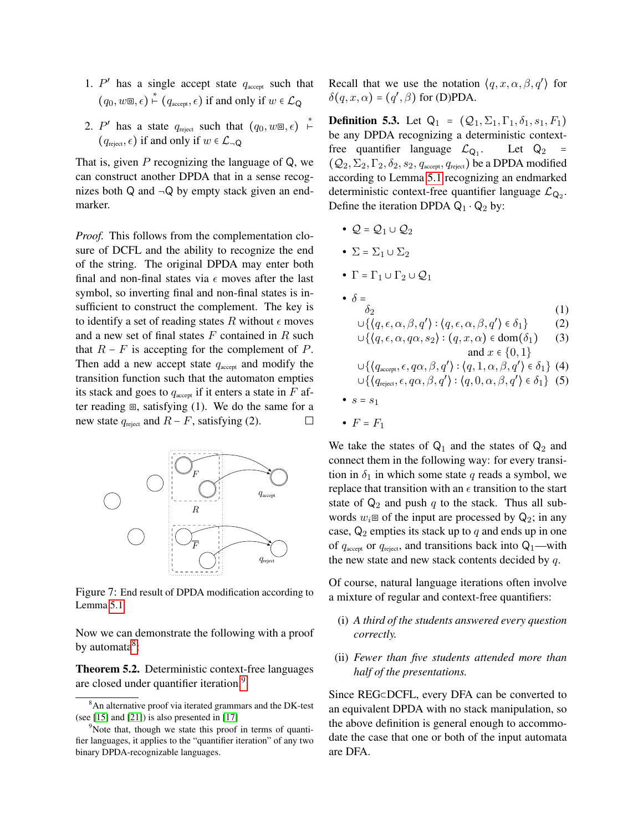- 1.  $P'$  has a single accept state  $q_{\text{accept}}$  such that  $(q_0, w\mathbf{=} \infty, \epsilon) \overset{*}{\vdash} (q_{\text{accept}}, \epsilon)$  if and only if  $w \in \mathcal{L}_{\mathsf{Q}}$
- 2. P' has a state  $q_{\text{reject}}$  such that  $(q_0, w\mathbb{E}, \epsilon) \stackrel{*}{\vdash}$  $(q_{\text{reiect}}, \epsilon)$  if and only if  $w \in \mathcal{L}_{\neg \mathsf{Q}}$

That is, given  $P$  recognizing the language of  $Q$ , we can construct another DPDA that in a sense recognizes both  $Q$  and  $\neg Q$  by empty stack given an endmarker.

*Proof.* This follows from the complementation closure of DCFL and the ability to recognize the end of the string. The original DPDA may enter both final and non-final states via  $\epsilon$  moves after the last symbol, so inverting final and non-final states is insufficient to construct the complement. The key is to identify a set of reading states R without  $\epsilon$  moves and a new set of final states  $F$  contained in  $R$  such that  $R - F$  is accepting for the complement of P. Then add a new accept state  $q_{\text{accept}}$  and modify the transition function such that the automaton empties its stack and goes to  $q_{\text{accept}}$  if it enters a state in  $F$  after reading  $\Xi$ , satisfying (1). We do the same for a new state  $q_{\text{reject}}$  and  $R - F$ , satisfying (2).  $\Box$ 



Figure 7: End result of DPDA modification according to Lemma [5.1](#page-8-0)

Now we can demonstrate the following with a proof by automata<sup>[8](#page-9-0)</sup>:

Theorem 5.2. Deterministic context-free languages are closed under quantifier iteration.<sup>[9](#page-9-1)</sup>

Recall that we use the notation  $\langle q, x, \alpha, \beta, q' \rangle$  for  $\delta(q, x, \alpha) = (q', \beta)$  for (D)PDA.

<span id="page-9-2"></span>**Definition 5.3.** Let  $Q_1 = (Q_1, \Sigma_1, \Gamma_1, \delta_1, s_1, F_1)$ be any DPDA recognizing a deterministic contextfree quantifier language  $\mathcal{L}_{Q_1}$ . Let  $Q_2$  =  $(Q_2, \Sigma_2, \Gamma_2, \delta_2, s_2, q_{\text{accept}}, q_{\text{reject}})$  be a DPDA modified according to Lemma [5.1](#page-8-0) recognizing an endmarked deterministic context-free quantifier language  $\mathcal{L}_{Q_2}$ . Define the iteration DPDA  $Q_1 \cdot Q_2$  by:

- $Q = Q_1 \cup Q_2$
- $\Sigma = \Sigma_1 \cup \Sigma_2$
- $\Gamma = \Gamma_1 \cup \Gamma_2 \cup Q_1$
- $\delta = \frac{1}{\delta_2}$  $\delta_2$  (1)  $\cup\{\langle q,\epsilon,\alpha,\beta,q'\rangle:\langle q,\epsilon,\alpha,\beta,q'\rangle\in\delta_1\}$  (2)  $\cup$ { $\langle q, \epsilon, \alpha, q\alpha, s_2 \rangle$  :  $(q, x, \alpha)$   $\in$  dom $(\delta_1)$  (3) and  $x \in \{0, 1\}$  $\cup\{\langle q_{\text{\tiny accept}},\epsilon,q\alpha,\beta,q'\rangle:\langle q,1,\alpha,\beta,q'\rangle\in\delta_1\}$  (4)  $\cup\{\langle q_\text{reject}, \epsilon, q\alpha, \beta, q'\rangle: \langle q, 0, \alpha, \beta, q'\rangle \in \delta_1\}$  (5) •  $s = s_1$
- $F = F_1$

We take the states of  $Q_1$  and the states of  $Q_2$  and connect them in the following way: for every transition in  $\delta_1$  in which some state q reads a symbol, we replace that transition with an  $\epsilon$  transition to the start state of  $Q_2$  and push q to the stack. Thus all subwords  $w_i \equiv$  of the input are processed by  $Q_2$ ; in any case,  $Q_2$  empties its stack up to q and ends up in one of  $q_{\text{accept}}$  or  $q_{\text{reject}}$ , and transitions back into  $Q_1$ —with the new state and new stack contents decided by  $q$ .

Of course, natural language iterations often involve a mixture of regular and context-free quantifiers:

- (i) *A third of the students answered every question correctly.*
- (ii) *Fewer than five students attended more than half of the presentations.*

Since REG⊂DCFL, every DFA can be converted to an equivalent DPDA with no stack manipulation, so the above definition is general enough to accommodate the case that one or both of the input automata are DFA.

<span id="page-9-0"></span><sup>&</sup>lt;sup>8</sup>An alternative proof via iterated grammars and the DK-test (see [\[15\]](#page-15-10) and [\[21\]](#page-15-7)) is also presented in [\[17\]](#page-15-8)

<span id="page-9-1"></span><sup>&</sup>lt;sup>9</sup>Note that, though we state this proof in terms of quantifier languages, it applies to the "quantifier iteration" of any two binary DPDA-recognizable languages.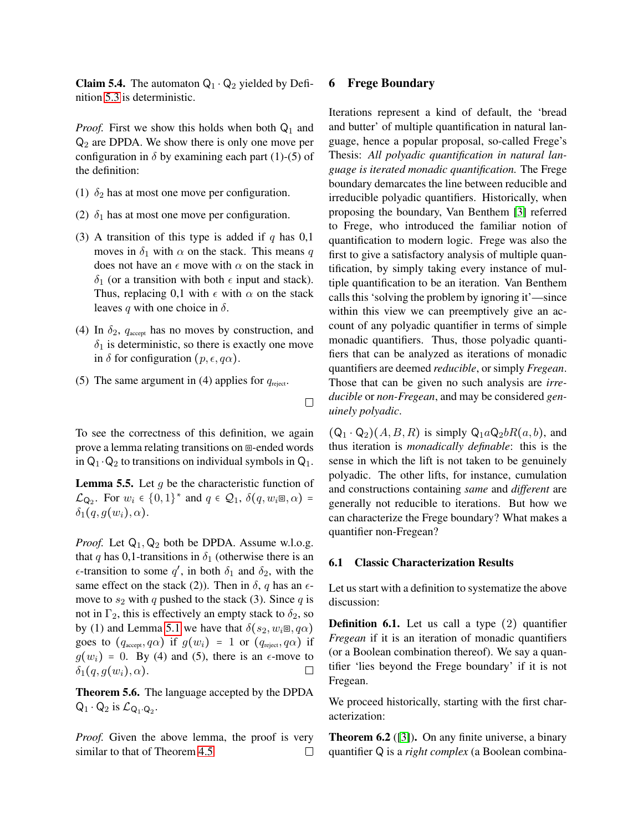**Claim 5.4.** The automaton  $Q_1 \cdot Q_2$  yielded by Definition [5.3](#page-9-2) is deterministic.

*Proof.* First we show this holds when both  $Q_1$  and  $Q_2$  are DPDA. We show there is only one move per configuration in  $\delta$  by examining each part (1)-(5) of the definition:

- (1)  $\delta_2$  has at most one move per configuration.
- (2)  $\delta_1$  has at most one move per configuration.
- (3) A transition of this type is added if q has  $0,1$ moves in  $\delta_1$  with  $\alpha$  on the stack. This means q does not have an  $\epsilon$  move with  $\alpha$  on the stack in  $\delta_1$  (or a transition with both  $\epsilon$  input and stack). Thus, replacing 0,1 with  $\epsilon$  with  $\alpha$  on the stack leaves q with one choice in  $\delta$ .
- (4) In  $\delta_2$ ,  $q_{\text{accept}}$  has no moves by construction, and  $\delta_1$  is deterministic, so there is exactly one move in  $\delta$  for configuration  $(p, \epsilon, q\alpha)$ .
- (5) The same argument in (4) applies for  $q_{\text{reject}}$ .

 $\Box$ 

To see the correctness of this definition, we again prove a lemma relating transitions on ⧈-ended words in  $Q_1 \cdot Q_2$  to transitions on individual symbols in  $Q_1$ .

**Lemma 5.5.** Let  $q$  be the characteristic function of  $\mathcal{L}_{\mathsf{Q}_2}$ . For  $w_i \in \{0,1\}^*$  and  $q \in \mathcal{Q}_1$ ,  $\delta(q, w_i \mathsf{m}, \alpha)$  =  $\delta_1(q,g(w_i),\alpha)$ .

*Proof.* Let  $Q_1$ ,  $Q_2$  both be DPDA. Assume w.l.o.g. that q has 0,1-transitions in  $\delta_1$  (otherwise there is an  $\epsilon$ -transition to some  $q'$ , in both  $\delta_1$  and  $\delta_2$ , with the same effect on the stack (2)). Then in  $\delta$ , q has an  $\epsilon$ move to  $s_2$  with q pushed to the stack (3). Since q is not in  $\Gamma_2$ , this is effectively an empty stack to  $\delta_2$ , so by (1) and Lemma [5.1](#page-8-0) we have that  $\delta(s_2, w_i \square, q\alpha)$ goes to  $(q_{\text{accept}}, q\alpha)$  if  $g(w_i) = 1$  or  $(q_{\text{reject}}, q\alpha)$  if  $g(w_i) = 0$ . By (4) and (5), there is an  $\epsilon$ -move to  $\delta_1(q, g(w_i), \alpha)$ .  $\Box$ 

Theorem 5.6. The language accepted by the DPDA  $Q_1 \cdot Q_2$  is  $\mathcal{L}_{Q_1 \cdot Q_2}$ .

*Proof.* Given the above lemma, the proof is very similar to that of Theorem [4.5](#page-8-4)  $\Box$ 

### 6 Frege Boundary

Iterations represent a kind of default, the 'bread and butter' of multiple quantification in natural language, hence a popular proposal, so-called Frege's Thesis: *All polyadic quantification in natural language is iterated monadic quantification.* The Frege boundary demarcates the line between reducible and irreducible polyadic quantifiers. Historically, when proposing the boundary, Van Benthem [\[3\]](#page-14-8) referred to Frege, who introduced the familiar notion of quantification to modern logic. Frege was also the first to give a satisfactory analysis of multiple quantification, by simply taking every instance of multiple quantification to be an iteration. Van Benthem calls this 'solving the problem by ignoring it'—since within this view we can preemptively give an account of any polyadic quantifier in terms of simple monadic quantifiers. Thus, those polyadic quantifiers that can be analyzed as iterations of monadic quantifiers are deemed *reducible*, or simply *Fregean*. Those that can be given no such analysis are *irreducible* or *non-Fregean*, and may be considered *genuinely polyadic*.

 $(Q_1 \cdot Q_2)(A, B, R)$  is simply  $Q_1aQ_2bR(a, b)$ , and thus iteration is *monadically definable*: this is the sense in which the lift is not taken to be genuinely polyadic. The other lifts, for instance, cumulation and constructions containing *same* and *different* are generally not reducible to iterations. But how we can characterize the Frege boundary? What makes a quantifier non-Fregean?

#### 6.1 Classic Characterization Results

Let us start with a definition to systematize the above discussion:

**Definition 6.1.** Let us call a type (2) quantifier *Fregean* if it is an iteration of monadic quantifiers (or a Boolean combination thereof). We say a quantifier 'lies beyond the Frege boundary' if it is not Fregean.

We proceed historically, starting with the first characterization:

Theorem 6.2 ([\[3\]](#page-14-8)). On any finite universe, a binary quantifier Q is a *right complex* (a Boolean combina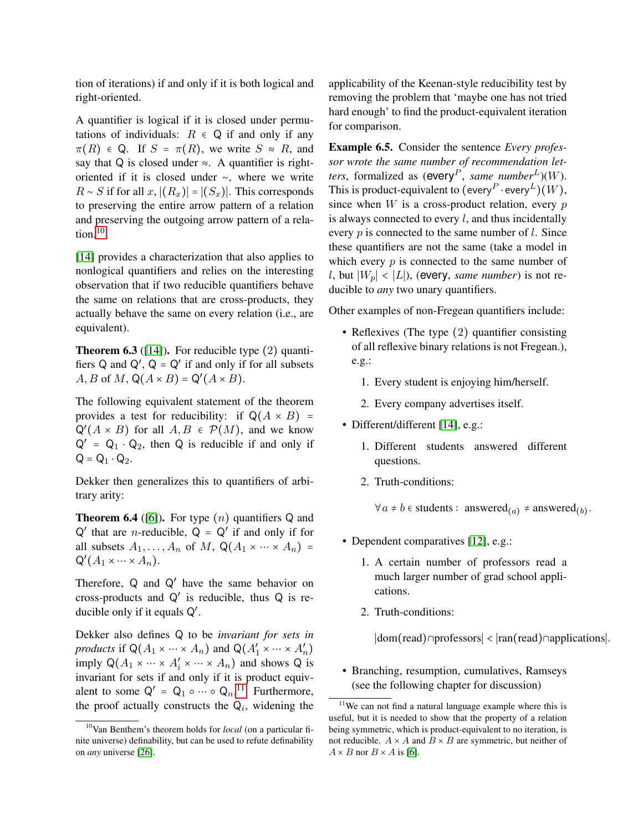tion of iterations) if and only if it is both logical and right-oriented.

A quantifier is logical if it is closed under permutations of individuals:  $R \in \mathbb{Q}$  if and only if any  $\pi(R) \in \mathbb{Q}$ . If  $S = \pi(R)$ , we write  $S \approx R$ , and say that Q is closed under  $\approx$ . A quantifier is rightoriented if it is closed under ∼, where we write  $R \sim S$  if for all  $x$ ,  $|(R_x)| = |(S_x)|$ . This corresponds to preserving the entire arrow pattern of a relation and preserving the outgoing arrow pattern of a relation. $10$ 

[\[14\]](#page-15-11) provides a characterization that also applies to nonlogical quantifiers and relies on the interesting observation that if two reducible quantifiers behave the same on relations that are cross-products, they actually behave the same on every relation (i.e., are equivalent).

**Theorem 6.3** ([\[14\]](#page-15-11)). For reducible type  $(2)$  quantifiers  $Q$  and  $Q'$ ,  $Q = Q'$  if and only if for all subsets  $A, B$  of  $M, Q(A \times B) = Q'(A \times B)$ .

The following equivalent statement of the theorem provides a test for reducibility: if  $Q(A \times B)$  =  $Q'(A \times B)$  for all  $A, B \in \mathcal{P}(M)$ , and we know  $Q' = Q_1 \cdot Q_2$ , then Q is reducible if and only if  $Q = Q_1 \cdot Q_2$ .

Dekker then generalizes this to quantifiers of arbitrary arity:

**Theorem 6.4** ([\[6\]](#page-14-9)). For type  $(n)$  quantifiers Q and  $Q'$  that are *n*-reducible,  $Q = Q'$  if and only if for all subsets  $A_1, \ldots, A_n$  of M,  $\mathsf{Q}(A_1 \times \cdots \times A_n)$  =  $\mathsf{Q}^{\prime}(A_1 \times \cdots \times A_n).$ 

Therefore,  $Q$  and  $Q'$  have the same behavior on cross-products and  $Q'$  is reducible, thus  $Q$  is reducible only if it equals  $Q'$ .

Dekker also defines Q to be *invariant for sets in products* if  $\mathsf{Q}(A_1 \times \cdots \times A_n)$  and  $\mathsf{Q}(A'_1 \times \cdots \times A'_n)$ imply  $Q(A_1 \times \cdots \times A_i' \times \cdots \times A_n)$  and shows Q is invariant for sets if and only if it is product equivalent to some  $Q' = Q_1 \circ \cdots \circ Q_n$ .<sup>[11](#page-11-1)</sup> Furthermore, the proof actually constructs the  $Q_i$ , widening the

applicability of the Keenan-style reducibility test by removing the problem that 'maybe one has not tried hard enough' to find the product-equivalent iteration for comparison.

Example 6.5. Consider the sentence *Every professor wrote the same number of recommendation letters*, formalized as (every<sup>P</sup>, *same number*<sup>L</sup>)(W). This is product-equivalent to  $({\mathsf{every}}^P\!\cdot\!{\mathsf{every}}^L)(W),$ since when  $W$  is a cross-product relation, every  $p$ is always connected to every  $l$ , and thus incidentally every  $p$  is connected to the same number of  $l$ . Since these quantifiers are not the same (take a model in which every  $p$  is connected to the same number of l, but  $|W_p|$  <  $|L|$ ), (every, *same number*) is not reducible to *any* two unary quantifiers.

Other examples of non-Fregean quantifiers include:

- Reflexives (The type (2) quantifier consisting of all reflexive binary relations is not Fregean.), e.g.:
	- 1. Every student is enjoying him/herself.
	- 2. Every company advertises itself.
- Different/different [\[14\]](#page-15-11), e.g.:
	- 1. Different students answered different questions.
	- 2. Truth-conditions:

 $\forall a \neq b \in \text{students}: \text{ answered}_{(a)} \neq \text{ answered}_{(b)}.$ 

- Dependent comparatives [\[12\]](#page-14-10), e.g.:
	- 1. A certain number of professors read a much larger number of grad school applications.
	- 2. Truth-conditions:

∣dom(read)∩professors∣ < ∣ran(read)∩applications∣.

• Branching, resumption, cumulatives, Ramseys (see the following chapter for discussion)

<span id="page-11-0"></span><sup>10</sup>Van Benthem's theorem holds for *local* (on a particular finite universe) definability, but can be used to refute definability on *any* universe [\[26\]](#page-15-12).

<span id="page-11-1"></span><sup>&</sup>lt;sup>11</sup>We can not find a natural language example where this is useful, but it is needed to show that the property of a relation being symmetric, which is product-equivalent to no iteration, is not reducible.  $A \times A$  and  $B \times B$  are symmetric, but neither of  $A \times B$  nor  $B \times A$  is [\[6\]](#page-14-9).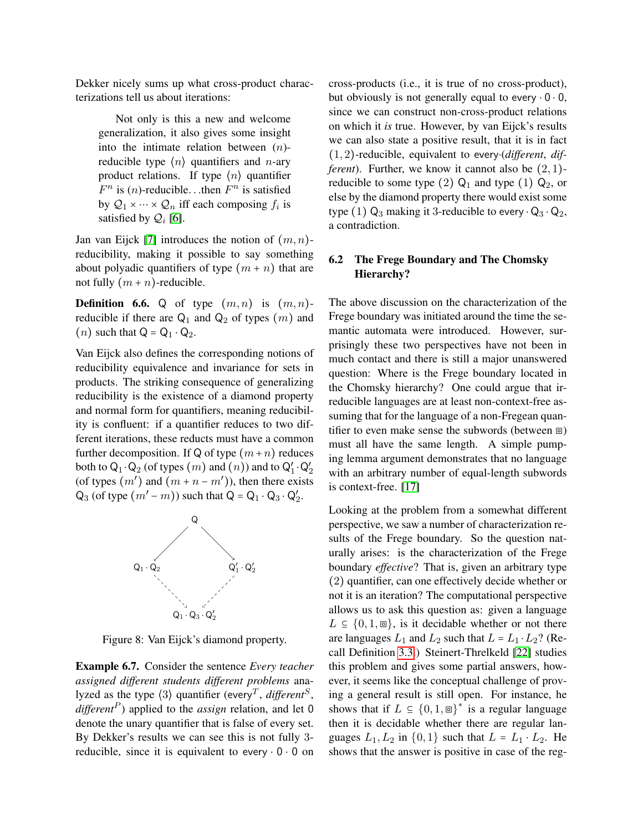Dekker nicely sums up what cross-product characterizations tell us about iterations:

Not only is this a new and welcome generalization, it also gives some insight into the intimate relation between  $(n)$ reducible type  $\langle n \rangle$  quantifiers and *n*-ary product relations. If type  $\langle n \rangle$  quantifier  $F^n$  is  $(n)$ -reducible...then  $F^n$  is satisfied by  $\mathcal{Q}_1 \times \cdots \times \mathcal{Q}_n$  iff each composing  $f_i$  is satisfied by  $\mathcal{Q}_i$  [\[6\]](#page-14-9).

Jan van Eijck [\[7\]](#page-14-11) introduces the notion of  $(m, n)$ reducibility, making it possible to say something about polyadic quantifiers of type  $(m + n)$  that are not fully  $(m + n)$ -reducible.

**Definition 6.6.** Q of type  $(m, n)$  is  $(m, n)$ reducible if there are  $Q_1$  and  $Q_2$  of types  $(m)$  and  $(n)$  such that  $Q = Q_1 \cdot Q_2$ .

Van Eijck also defines the corresponding notions of reducibility equivalence and invariance for sets in products. The striking consequence of generalizing reducibility is the existence of a diamond property and normal form for quantifiers, meaning reducibility is confluent: if a quantifier reduces to two different iterations, these reducts must have a common further decomposition. If Q of type  $(m+n)$  reduces both to  $\mathsf{Q}_1 \cdot \mathsf{Q}_2$  (of types  $(m)$  and  $(n)$ ) and to  $\mathsf{Q}'_1 \cdot \mathsf{Q}'_2$ (of types  $(m')$  and  $(m + n - m')$ ), then there exists  $Q_3$  (of type  $(m'-m)$ ) such that  $Q = Q_1 \cdot Q_3 \cdot Q'_2$ .



Figure 8: Van Eijck's diamond property.

Example 6.7. Consider the sentence *Every teacher assigned different students different problems* analyzed as the type  $\langle 3 \rangle$  quantifier (every<sup>T</sup>, *different*<sup>S</sup>, *different*<sup>P</sup> ) applied to the *assign* relation, and let 0 denote the unary quantifier that is false of every set. By Dekker's results we can see this is not fully 3 reducible, since it is equivalent to every  $\cdot$  0  $\cdot$  0 on

cross-products (i.e., it is true of no cross-product), but obviously is not generally equal to every  $\cdot$  0  $\cdot$  0, since we can construct non-cross-product relations on which it *is* true. However, by van Eijck's results we can also state a positive result, that it is in fact (1, 2)-reducible, equivalent to every⋅(*different*, *different*). Further, we know it cannot also be  $(2, 1)$ reducible to some type (2)  $Q_1$  and type (1)  $Q_2$ , or else by the diamond property there would exist some type (1)  $Q_3$  making it 3-reducible to every  $\cdot Q_3 \cdot Q_2$ , a contradiction.

# 6.2 The Frege Boundary and The Chomsky Hierarchy?

The above discussion on the characterization of the Frege boundary was initiated around the time the semantic automata were introduced. However, surprisingly these two perspectives have not been in much contact and there is still a major unanswered question: Where is the Frege boundary located in the Chomsky hierarchy? One could argue that irreducible languages are at least non-context-free assuming that for the language of a non-Fregean quantifier to even make sense the subwords (between ⧈) must all have the same length. A simple pumping lemma argument demonstrates that no language with an arbitrary number of equal-length subwords is context-free. [\[17\]](#page-15-8)

Looking at the problem from a somewhat different perspective, we saw a number of characterization results of the Frege boundary. So the question naturally arises: is the characterization of the Frege boundary *effective*? That is, given an arbitrary type (2) quantifier, can one effectively decide whether or not it is an iteration? The computational perspective allows us to ask this question as: given a language  $L \subseteq \{0, 1, \mathbb{R}\},$  is it decidable whether or not there are languages  $L_1$  and  $L_2$  such that  $L = L_1 \cdot L_2$ ? (Recall Definition [3.3.](#page-4-1)) Steinert-Threlkeld [\[22\]](#page-15-9) studies this problem and gives some partial answers, however, it seems like the conceptual challenge of proving a general result is still open. For instance, he shows that if  $L \subseteq \{0,1,\text{m}\}^*$  is a regular language then it is decidable whether there are regular languages  $L_1, L_2$  in  $\{0, 1\}$  such that  $L = L_1 \cdot L_2$ . He shows that the answer is positive in case of the reg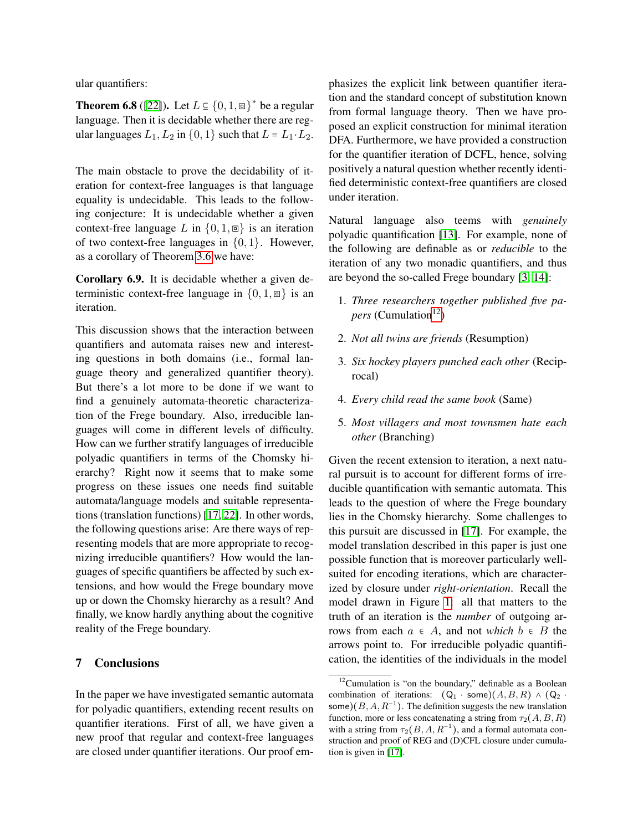ular quantifiers:

**Theorem 6.8** ([\[22\]](#page-15-9)). Let  $L \subseteq \{0, 1, \text{m}\}^*$  be a regular language. Then it is decidable whether there are regular languages  $L_1, L_2$  in  $\{0, 1\}$  such that  $L = L_1 \cdot L_2$ .

The main obstacle to prove the decidability of iteration for context-free languages is that language equality is undecidable. This leads to the following conjecture: It is undecidable whether a given context-free language L in  $\{0, 1, \square\}$  is an iteration of two context-free languages in  $\{0, 1\}$ . However, as a corollary of Theorem [3.6](#page-4-2) we have:

Corollary 6.9. It is decidable whether a given deterministic context-free language in  $\{0, 1, \square\}$  is an iteration.

This discussion shows that the interaction between quantifiers and automata raises new and interesting questions in both domains (i.e., formal language theory and generalized quantifier theory). But there's a lot more to be done if we want to find a genuinely automata-theoretic characterization of the Frege boundary. Also, irreducible languages will come in different levels of difficulty. How can we further stratify languages of irreducible polyadic quantifiers in terms of the Chomsky hierarchy? Right now it seems that to make some progress on these issues one needs find suitable automata/language models and suitable representations (translation functions) [\[17,](#page-15-8) [22\]](#page-15-9). In other words, the following questions arise: Are there ways of representing models that are more appropriate to recognizing irreducible quantifiers? How would the languages of specific quantifiers be affected by such extensions, and how would the Frege boundary move up or down the Chomsky hierarchy as a result? And finally, we know hardly anything about the cognitive reality of the Frege boundary.

### 7 Conclusions

In the paper we have investigated semantic automata for polyadic quantifiers, extending recent results on quantifier iterations. First of all, we have given a new proof that regular and context-free languages are closed under quantifier iterations. Our proof emphasizes the explicit link between quantifier iteration and the standard concept of substitution known from formal language theory. Then we have proposed an explicit construction for minimal iteration DFA. Furthermore, we have provided a construction for the quantifier iteration of DCFL, hence, solving positively a natural question whether recently identified deterministic context-free quantifiers are closed under iteration.

Natural language also teems with *genuinely* polyadic quantification [\[13\]](#page-14-12). For example, none of the following are definable as or *reducible* to the iteration of any two monadic quantifiers, and thus are beyond the so-called Frege boundary [\[3,](#page-14-8) [14\]](#page-15-11):

- 1. *Three researchers together published five papers* (Cumulation<sup>[12](#page-13-0)</sup>)
- 2. *Not all twins are friends* (Resumption)
- 3. *Six hockey players punched each other* (Reciprocal)
- 4. *Every child read the same book* (Same)
- 5. *Most villagers and most townsmen hate each other* (Branching)

Given the recent extension to iteration, a next natural pursuit is to account for different forms of irreducible quantification with semantic automata. This leads to the question of where the Frege boundary lies in the Chomsky hierarchy. Some challenges to this pursuit are discussed in [\[17\]](#page-15-8). For example, the model translation described in this paper is just one possible function that is moreover particularly wellsuited for encoding iterations, which are characterized by closure under *right-orientation*. Recall the model drawn in Figure [1:](#page-3-1) all that matters to the truth of an iteration is the *number* of outgoing arrows from each  $a \in A$ , and not *which*  $b \in B$  the arrows point to. For irreducible polyadic quantification, the identities of the individuals in the model

<span id="page-13-0"></span> $12$ Cumulation is "on the boundary," definable as a Boolean combination of iterations:  $(Q_1 \cdot \text{some})(A, B, R) \wedge (Q_2 \cdot$ some) $(B, A, R^{-1})$ . The definition suggests the new translation function, more or less concatenating a string from  $\tau_2(A, B, R)$ with a string from  $\tau_2(B, A, R^{-1})$ , and a formal automata construction and proof of REG and (D)CFL closure under cumulation is given in [\[17\]](#page-15-8).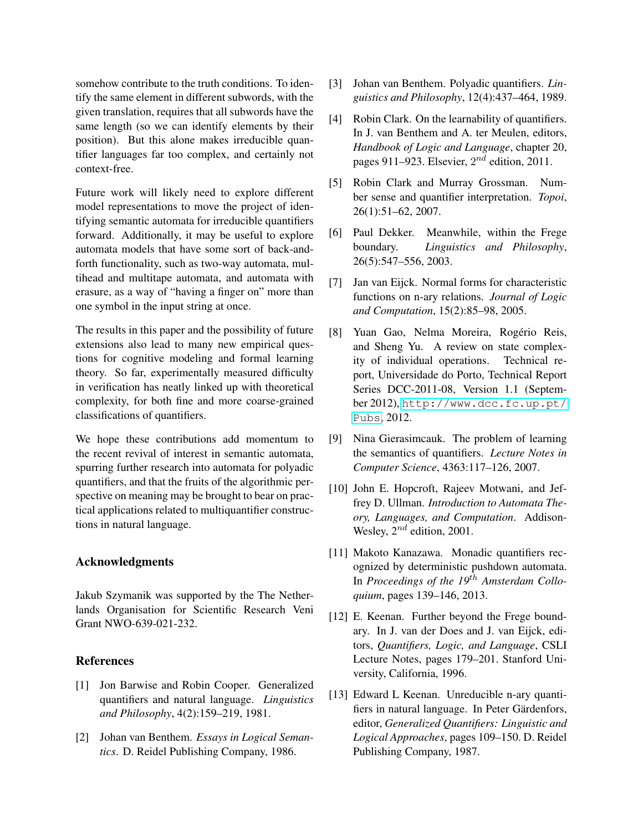somehow contribute to the truth conditions. To identify the same element in different subwords, with the given translation, requires that all subwords have the same length (so we can identify elements by their position). But this alone makes irreducible quantifier languages far too complex, and certainly not context-free.

Future work will likely need to explore different model representations to move the project of identifying semantic automata for irreducible quantifiers forward. Additionally, it may be useful to explore automata models that have some sort of back-andforth functionality, such as two-way automata, multihead and multitape automata, and automata with erasure, as a way of "having a finger on" more than one symbol in the input string at once.

The results in this paper and the possibility of future extensions also lead to many new empirical questions for cognitive modeling and formal learning theory. So far, experimentally measured difficulty in verification has neatly linked up with theoretical complexity, for both fine and more coarse-grained classifications of quantifiers.

We hope these contributions add momentum to the recent revival of interest in semantic automata, spurring further research into automata for polyadic quantifiers, and that the fruits of the algorithmic perspective on meaning may be brought to bear on practical applications related to multiquantifier constructions in natural language.

### Acknowledgments

Jakub Szymanik was supported by the The Netherlands Organisation for Scientific Research Veni Grant NWO-639-021-232.

# **References**

- <span id="page-14-5"></span>[1] Jon Barwise and Robin Cooper. Generalized quantifiers and natural language. *Linguistics and Philosophy*, 4(2):159–219, 1981.
- <span id="page-14-0"></span>[2] Johan van Benthem. *Essays in Logical Semantics*. D. Reidel Publishing Company, 1986.
- <span id="page-14-8"></span>[3] Johan van Benthem. Polyadic quantifiers. *Linguistics and Philosophy*, 12(4):437–464, 1989.
- <span id="page-14-3"></span>[4] Robin Clark. On the learnability of quantifiers. In J. van Benthem and A. ter Meulen, editors, *Handbook of Logic and Language*, chapter 20, pages 911–923. Elsevier,  $2^{nd}$  edition, 2011.
- <span id="page-14-2"></span>[5] Robin Clark and Murray Grossman. Number sense and quantifier interpretation. *Topoi*, 26(1):51–62, 2007.
- <span id="page-14-9"></span>[6] Paul Dekker. Meanwhile, within the Frege boundary. *Linguistics and Philosophy*, 26(5):547–556, 2003.
- <span id="page-14-11"></span>[7] Jan van Eijck. Normal forms for characteristic functions on n-ary relations. *Journal of Logic and Computation*, 15(2):85–98, 2005.
- <span id="page-14-7"></span>[8] Yuan Gao, Nelma Moreira, Rogério Reis, and Sheng Yu. A review on state complexity of individual operations. Technical report, Universidade do Porto, Technical Report Series DCC-2011-08, Version 1.1 (September 2012), [http://www.dcc.fc.up.pt/](http://www. dcc. fc. up. pt/Pubs) [Pubs](http://www. dcc. fc. up. pt/Pubs), 2012.
- <span id="page-14-1"></span>[9] Nina Gierasimcauk. The problem of learning the semantics of quantifiers. *Lecture Notes in Computer Science*, 4363:117–126, 2007.
- <span id="page-14-6"></span>[10] John E. Hopcroft, Rajeev Motwani, and Jeffrey D. Ullman. *Introduction to Automata Theory, Languages, and Computation*. Addison-Wesley,  $2^{nd}$  edition, 2001.
- <span id="page-14-4"></span>[11] Makoto Kanazawa. Monadic quantifiers recognized by deterministic pushdown automata. In *Proceedings of the 19*th *Amsterdam Colloquium*, pages 139–146, 2013.
- <span id="page-14-10"></span>[12] E. Keenan. Further beyond the Frege boundary. In J. van der Does and J. van Eijck, editors, *Quantifiers, Logic, and Language*, CSLI Lecture Notes, pages 179–201. Stanford University, California, 1996.
- <span id="page-14-12"></span>[13] Edward L Keenan. Unreducible n-ary quantifiers in natural language. In Peter Gärdenfors, editor, *Generalized Quantifiers: Linguistic and Logical Approaches*, pages 109–150. D. Reidel Publishing Company, 1987.